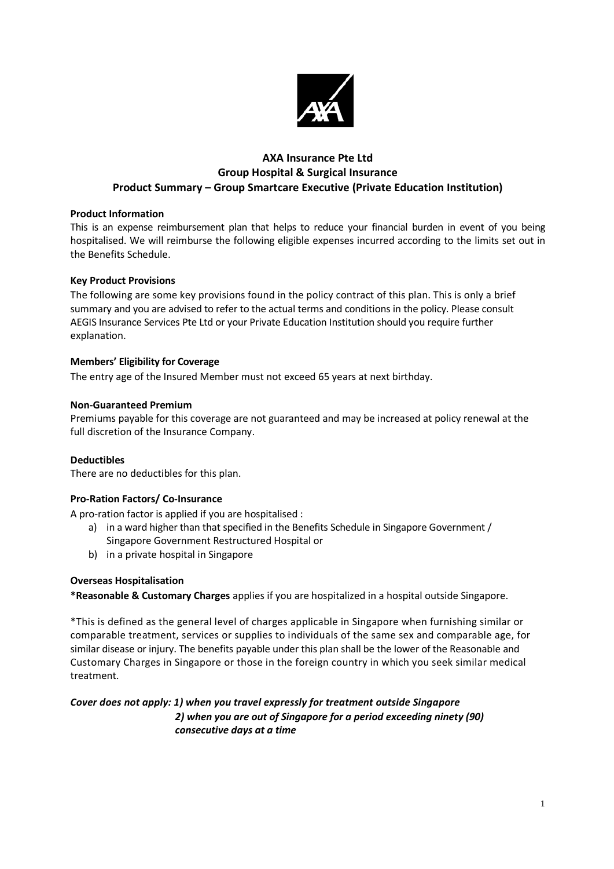

# **AXA Insurance Pte Ltd Group Hospital & Surgical Insurance Product Summary – Group Smartcare Executive (Private Education Institution)**

# **Product Information**

This is an expense reimbursement plan that helps to reduce your financial burden in event of you being hospitalised. We will reimburse the following eligible expenses incurred according to the limits set out in the Benefits Schedule.

## **Key Product Provisions**

The following are some key provisions found in the policy contract of this plan. This is only a brief summary and you are advised to refer to the actual terms and conditions in the policy. Please consult AEGIS Insurance Services Pte Ltd or your Private Education Institution should you require further explanation.

# **Members' Eligibility for Coverage**

The entry age of the Insured Member must not exceed 65 years at next birthday.

## **Non-Guaranteed Premium**

Premiums payable for this coverage are not guaranteed and may be increased at policy renewal at the full discretion of the Insurance Company.

# **Deductibles**

There are no deductibles for this plan.

# **Pro-Ration Factors/ Co-Insurance**

A pro-ration factor is applied if you are hospitalised :

- a) in a ward higher than that specified in the Benefits Schedule in Singapore Government / Singapore Government Restructured Hospital or
- b) in a private hospital in Singapore

# **Overseas Hospitalisation**

**\*Reasonable & Customary Charges** applies if you are hospitalized in a hospital outside Singapore.

\*This is defined as the general level of charges applicable in Singapore when furnishing similar or comparable treatment, services or supplies to individuals of the same sex and comparable age, for similar disease or injury. The benefits payable under this plan shall be the lower of the Reasonable and Customary Charges in Singapore or those in the foreign country in which you seek similar medical treatment.

# *Cover does not apply: 1) when you travel expressly for treatment outside Singapore*

*2) when you are out of Singapore for a period exceeding ninety (90) consecutive days at a time*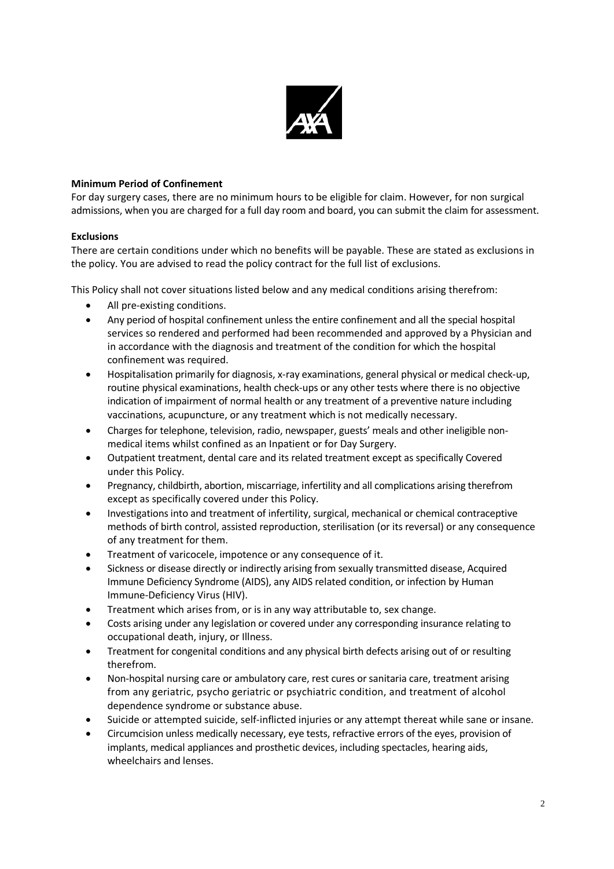

# **Minimum Period of Confinement**

For day surgery cases, there are no minimum hours to be eligible for claim. However, for non surgical admissions, when you are charged for a full day room and board, you can submit the claim for assessment.

# **Exclusions**

There are certain conditions under which no benefits will be payable. These are stated as exclusions in the policy. You are advised to read the policy contract for the full list of exclusions.

This Policy shall not cover situations listed below and any medical conditions arising therefrom:

- All pre-existing conditions.
- Any period of hospital confinement unless the entire confinement and all the special hospital services so rendered and performed had been recommended and approved by a Physician and in accordance with the diagnosis and treatment of the condition for which the hospital confinement was required.
- Hospitalisation primarily for diagnosis, x-ray examinations, general physical or medical check-up, routine physical examinations, health check-ups or any other tests where there is no objective indication of impairment of normal health or any treatment of a preventive nature including vaccinations, acupuncture, or any treatment which is not medically necessary.
- Charges for telephone, television, radio, newspaper, guests' meals and other ineligible nonmedical items whilst confined as an Inpatient or for Day Surgery.
- Outpatient treatment, dental care and its related treatment except as specifically Covered under this Policy.
- Pregnancy, childbirth, abortion, miscarriage, infertility and all complications arising therefrom except as specifically covered under this Policy.
- Investigations into and treatment of infertility, surgical, mechanical or chemical contraceptive methods of birth control, assisted reproduction, sterilisation (or its reversal) or any consequence of any treatment for them.
- Treatment of varicocele, impotence or any consequence of it.
- Sickness or disease directly or indirectly arising from sexually transmitted disease, Acquired Immune Deficiency Syndrome (AIDS), any AIDS related condition, or infection by Human Immune-Deficiency Virus (HIV).
- Treatment which arises from, or is in any way attributable to, sex change.
- Costs arising under any legislation or covered under any corresponding insurance relating to occupational death, injury, or Illness.
- Treatment for congenital conditions and any physical birth defects arising out of or resulting therefrom.
- Non-hospital nursing care or ambulatory care, rest cures or sanitaria care, treatment arising from any geriatric, psycho geriatric or psychiatric condition, and treatment of alcohol dependence syndrome or substance abuse.
- Suicide or attempted suicide, self-inflicted injuries or any attempt thereat while sane or insane.
- Circumcision unless medically necessary, eye tests, refractive errors of the eyes, provision of implants, medical appliances and prosthetic devices, including spectacles, hearing aids, wheelchairs and lenses.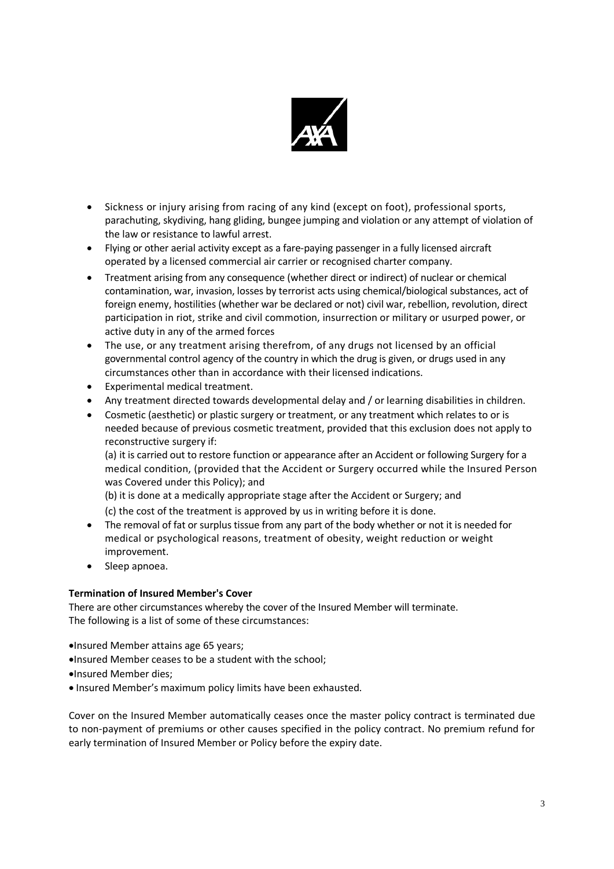

- Sickness or injury arising from racing of any kind (except on foot), professional sports, parachuting, skydiving, hang gliding, bungee jumping and violation or any attempt of violation of the law or resistance to lawful arrest.
- Flying or other aerial activity except as a fare-paying passenger in a fully licensed aircraft operated by a licensed commercial air carrier or recognised charter company.
- Treatment arising from any consequence (whether direct or indirect) of nuclear or chemical contamination, war, invasion, losses by terrorist acts using chemical/biological substances, act of foreign enemy, hostilities (whether war be declared or not) civil war, rebellion, revolution, direct participation in riot, strike and civil commotion, insurrection or military or usurped power, or active duty in any of the armed forces
- The use, or any treatment arising therefrom, of any drugs not licensed by an official governmental control agency of the country in which the drug is given, or drugs used in any circumstances other than in accordance with their licensed indications.
- Experimental medical treatment.
- Any treatment directed towards developmental delay and / or learning disabilities in children.
- Cosmetic (aesthetic) or plastic surgery or treatment, or any treatment which relates to or is needed because of previous cosmetic treatment, provided that this exclusion does not apply to reconstructive surgery if:

(a) it is carried out to restore function or appearance after an Accident or following Surgery for a medical condition, (provided that the Accident or Surgery occurred while the Insured Person was Covered under this Policy); and

(b) it is done at a medically appropriate stage after the Accident or Surgery; and

(c) the cost of the treatment is approved by us in writing before it is done.

- The removal of fat or surplus tissue from any part of the body whether or not it is needed for medical or psychological reasons, treatment of obesity, weight reduction or weight improvement.
- Sleep apnoea.

# **Termination of Insured Member's Cover**

There are other circumstances whereby the cover of the Insured Member will terminate. The following is a list of some of these circumstances:

•Insured Member attains age 65 years;

- •Insured Member ceases to be a student with the school;
- •Insured Member dies;
- Insured Member's maximum policy limits have been exhausted.

Cover on the Insured Member automatically ceases once the master policy contract is terminated due to non-payment of premiums or other causes specified in the policy contract. No premium refund for early termination of Insured Member or Policy before the expiry date.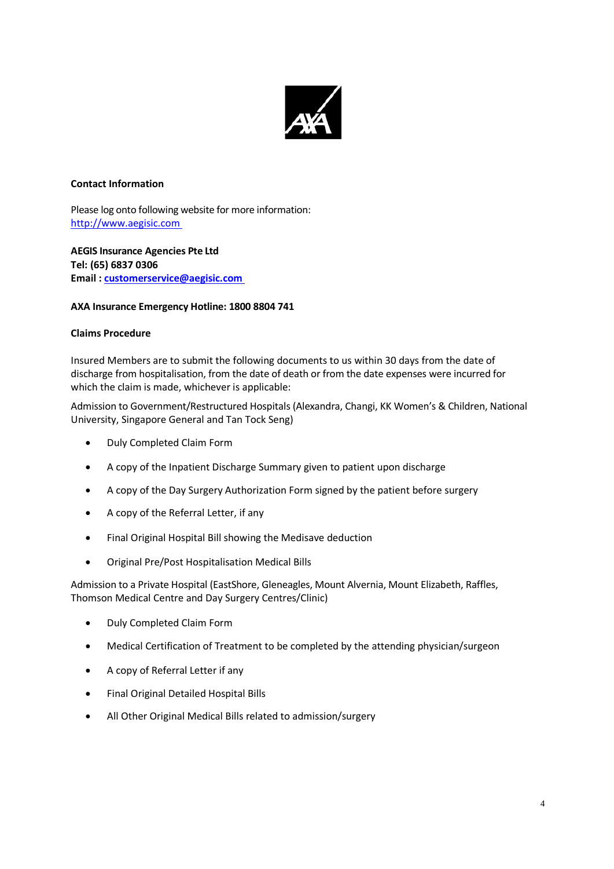

# **Contact Information**

Please log onto following website for more information: http://www.aegisic.com

**AEGIS Insurance Agencies Pte Ltd Tel: (65) 6837 0306 Email : customerservice@aegisic.com**

# **AXA Insurance Emergency Hotline: 1800 8804 741**

# **Claims Procedure**

Insured Members are to submit the following documents to us within 30 days from the date of discharge from hospitalisation, from the date of death or from the date expenses were incurred for which the claim is made, whichever is applicable:

Admission to Government/Restructured Hospitals (Alexandra, Changi, KK Women's & Children, National University, Singapore General and Tan Tock Seng)

- Duly Completed Claim Form
- A copy of the Inpatient Discharge Summary given to patient upon discharge
- A copy of the Day Surgery Authorization Form signed by the patient before surgery
- A copy of the Referral Letter, if any
- Final Original Hospital Bill showing the Medisave deduction
- Original Pre/Post Hospitalisation Medical Bills

Admission to a Private Hospital (EastShore, Gleneagles, Mount Alvernia, Mount Elizabeth, Raffles, Thomson Medical Centre and Day Surgery Centres/Clinic)

- Duly Completed Claim Form
- Medical Certification of Treatment to be completed by the attending physician/surgeon
- A copy of Referral Letter if any
- Final Original Detailed Hospital Bills
- All Other Original Medical Bills related to admission/surgery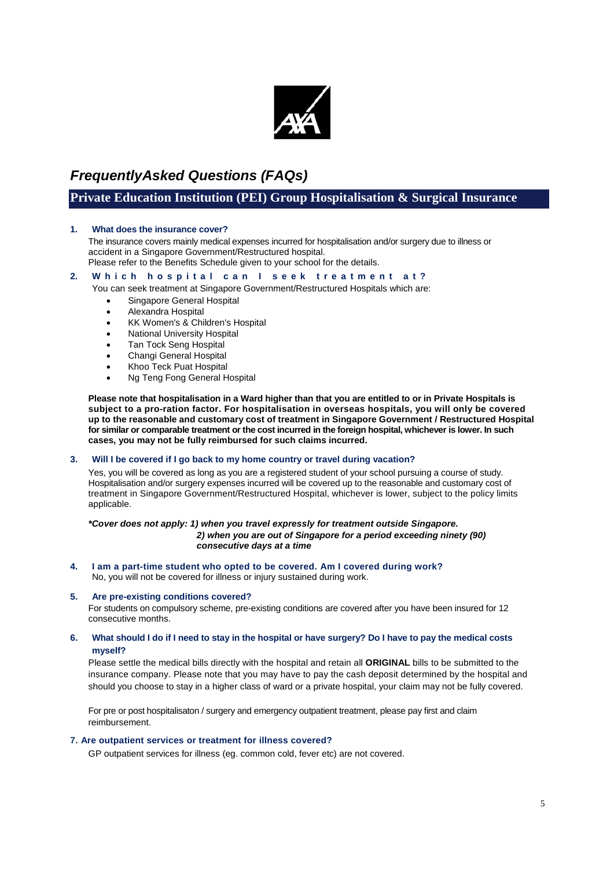

# *FrequentlyAsked Questions (FAQs)*

# **Private Education Institution (PEI) Group Hospitalisation & Surgical Insurance**

## **1. What does the insurance cover?**

The insurance covers mainly medical expenses incurred for hospitalisation and/or surgery due to illness or accident in a Singapore Government/Restructured hospital.

Please refer to the Benefits Schedule given to your school for the details.

# 2. Which hospital can I seek treatment at?

You can seek treatment at Singapore Government/Restructured Hospitals which are:

- Singapore General Hospital
- Alexandra Hospital
- KK Women's & Children's Hospital
- National University Hospital
- **Tan Tock Seng Hospital**
- Changi General Hospital
- Khoo Teck Puat Hospital
- Ng Teng Fong General Hospital

**Please note that hospitalisation in a Ward higher than that you are entitled to or in Private Hospitals is subject to a pro-ration factor. For hospitalisation in overseas hospitals, you will only be covered up to the reasonable and customary cost of treatment in Singapore Government / Restructured Hospital for similar or comparable treatment or the cost incurred in the foreign hospital, whichever is lower. In such cases, you may not be fully reimbursed for such claims incurred.**

## **3. Will I be covered if I go back to my home country or travel during vacation?**

Yes, you will be covered as long as you are a registered student of your school pursuing a course of study. Hospitalisation and/or surgery expenses incurred will be covered up to the reasonable and customary cost of treatment in Singapore Government/Restructured Hospital, whichever is lower, subject to the policy limits applicable.

### *\*Cover does not apply: 1) when you travel expressly for treatment outside Singapore. 2) when you are out of Singapore for a period exceeding ninety (90) consecutive days at a time*

**4. I am a part-time student who opted to be covered. Am I covered during work?** No, you will not be covered for illness or injury sustained during work.

## **5. Are pre-existing conditions covered?**

For students on compulsory scheme, pre-existing conditions are covered after you have been insured for 12 consecutive months.

## **6. What should I do if I need to stay in the hospital or have surgery? Do I have to pay the medical costs myself?**

Please settle the medical bills directly with the hospital and retain all **ORIGINAL** bills to be submitted to the insurance company. Please note that you may have to pay the cash deposit determined by the hospital and should you choose to stay in a higher class of ward or a private hospital, your claim may not be fully covered.

For pre or post hospitalisaton / surgery and emergency outpatient treatment, please pay first and claim reimbursement.

## **7. Are outpatient services or treatment for illness covered?**

GP outpatient services for illness (eg. common cold, fever etc) are not covered.